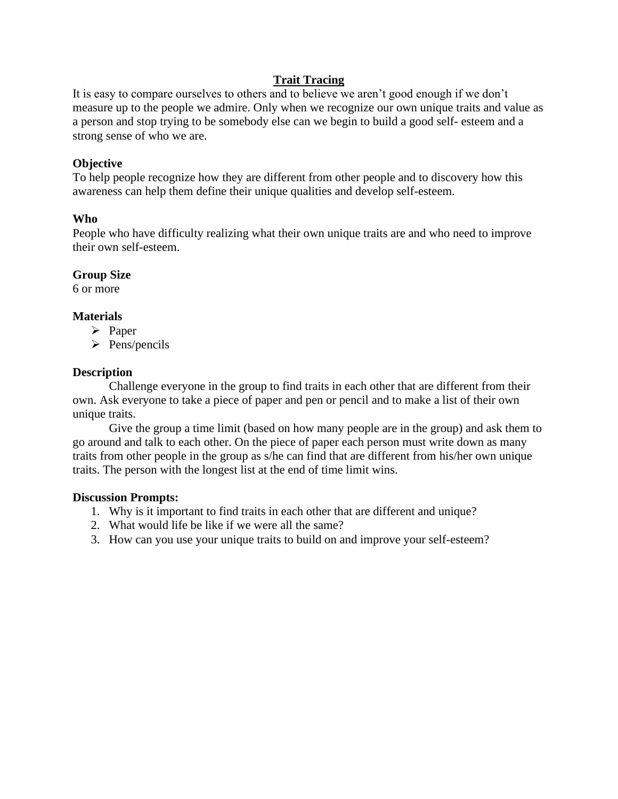# **Trait Tracing**

It is easy to compare ourselves to others and to believe we aren't good enough if we don't measure up to the people we admire. Only when we recognize our own unique traits and value as a person and stop trying to be somebody else can we begin to build a good self- esteem and a strong sense of who we are.

# **Objective**

To help people recognize how they are different from other people and to discovery how this awareness can help them define their unique qualities and develop self-esteem.

# **Who**

People who have difficulty realizing what their own unique traits are and who need to improve their own self-esteem.

# **Group Size**

6 or more

# **Materials**

- ➢ Paper
- ➢ Pens/pencils

# **Description**

Challenge everyone in the group to find traits in each other that are different from their own. Ask everyone to take a piece of paper and pen or pencil and to make a list of their own unique traits.

Give the group a time limit (based on how many people are in the group) and ask them to go around and talk to each other. On the piece of paper each person must write down as many traits from other people in the group as s/he can find that are different from his/her own unique traits. The person with the longest list at the end of time limit wins.

# **Discussion Prompts:**

- 1. Why is it important to find traits in each other that are different and unique?
- 2. What would life be like if we were all the same?
- 3. How can you use your unique traits to build on and improve your self-esteem?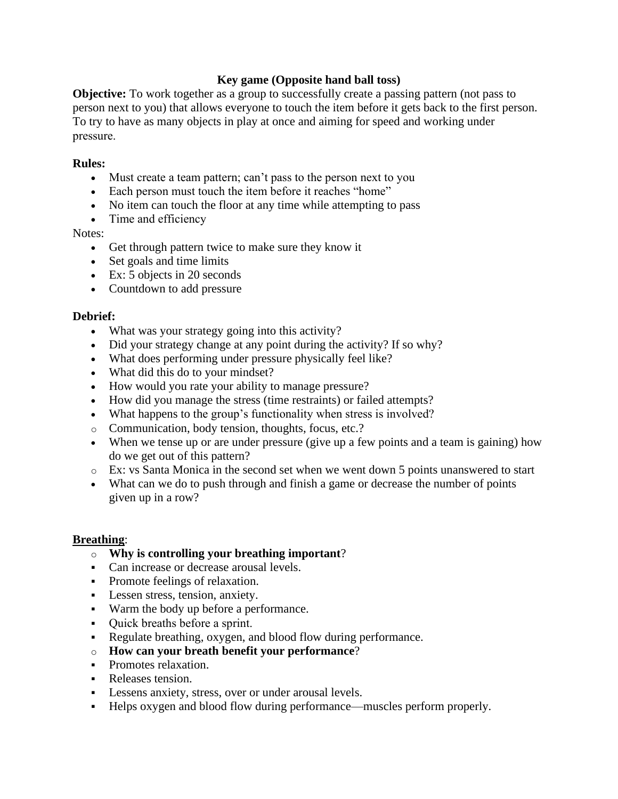# **Key game (Opposite hand ball toss)**

**Objective:** To work together as a group to successfully create a passing pattern (not pass to person next to you) that allows everyone to touch the item before it gets back to the first person. To try to have as many objects in play at once and aiming for speed and working under pressure. 

# **Rules:**

- Must create a team pattern; can't pass to the person next to you
- Each person must touch the item before it reaches "home"
- No item can touch the floor at any time while attempting to pass
- Time and efficiency

#### Notes:

- Get through pattern twice to make sure they know it
- Set goals and time limits
- Ex: 5 objects in 20 seconds
- Countdown to add pressure

### **Debrief:**

- What was your strategy going into this activity?
- Did your strategy change at any point during the activity? If so why?
- What does performing under pressure physically feel like?
- What did this do to your mindset?
- How would you rate your ability to manage pressure?
- How did you manage the stress (time restraints) or failed attempts?
- What happens to the group's functionality when stress is involved?
- o Communication, body tension, thoughts, focus, etc.?
- When we tense up or are under pressure (give up a few points and a team is gaining) how do we get out of this pattern?
- o Ex: vs Santa Monica in the second set when we went down 5 points unanswered to start
- What can we do to push through and finish a game or decrease the number of points given up in a row?

#### **Breathing**:

- o **Why is controlling your breathing important**?
- Can increase or decrease arousal levels.
- Promote feelings of relaxation.
- **•** Lessen stress, tension, anxiety.
- Warm the body up before a performance.
- Quick breaths before a sprint.
- Regulate breathing, oxygen, and blood flow during performance.
- o **How can your breath benefit your performance**?
- **•** Promotes relaxation.
- Releases tension.
- Lessens anxiety, stress, over or under arousal levels.
- Helps oxygen and blood flow during performance—muscles perform properly.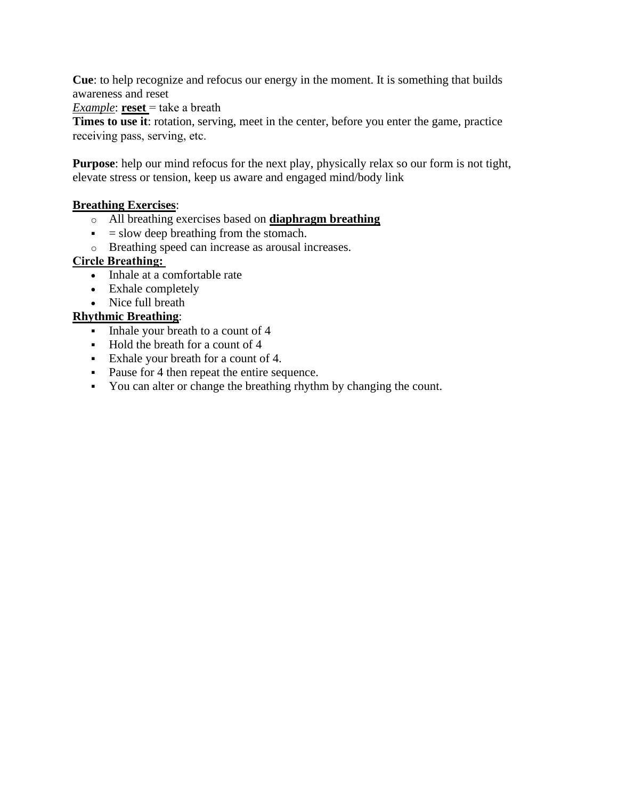**Cue**: to help recognize and refocus our energy in the moment. It is something that builds awareness and reset

*Example*: **reset** = take a breath

**Times to use it**: rotation, serving, meet in the center, before you enter the game, practice receiving pass, serving, etc. 

**Purpose**: help our mind refocus for the next play, physically relax so our form is not tight, elevate stress or tension, keep us aware and engaged mind/body link

# **Breathing Exercises**:

- o All breathing exercises based on **diaphragm breathing**
- $\blacksquare$  = slow deep breathing from the stomach.
- o Breathing speed can increase as arousal increases.

# **Circle Breathing:**

- Inhale at a comfortable rate
- Exhale completely
- Nice full breath

### **Rhythmic Breathing**:

- Inhale your breath to a count of 4
- Hold the breath for a count of 4
- Exhale your breath for a count of 4.
- Pause for 4 then repeat the entire sequence.
- You can alter or change the breathing rhythm by changing the count.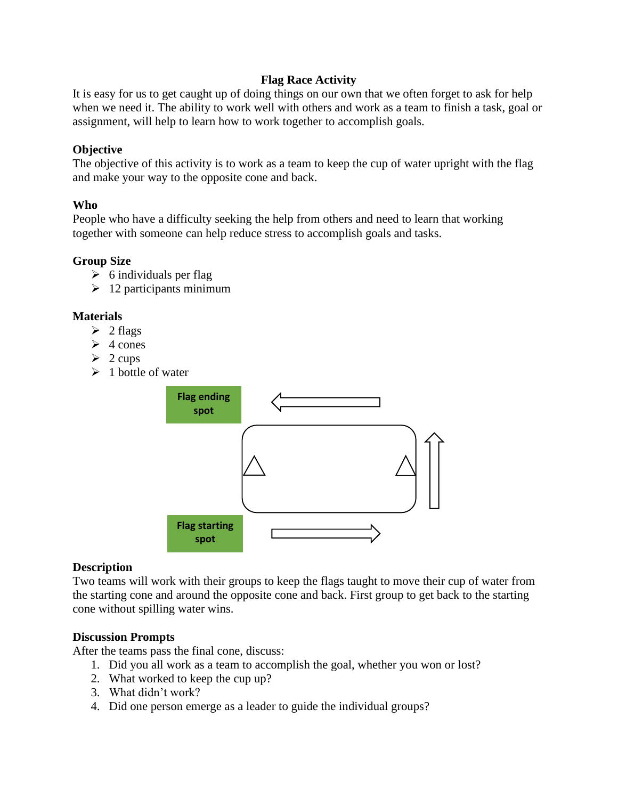### **Flag Race Activity**

It is easy for us to get caught up of doing things on our own that we often forget to ask for help when we need it. The ability to work well with others and work as a team to finish a task, goal or assignment, will help to learn how to work together to accomplish goals.

### **Objective**

The objective of this activity is to work as a team to keep the cup of water upright with the flag and make your way to the opposite cone and back.

### **Who**

People who have a difficulty seeking the help from others and need to learn that working together with someone can help reduce stress to accomplish goals and tasks.

### **Group Size**

- $\triangleright$  6 individuals per flag
- $\geq 12$  participants minimum

#### **Materials**

- $\geq 2$  flags
- $\triangleright$  4 cones
- $\geq 2$  cups
- $\geq 1$  bottle of water



#### **Description**

Two teams will work with their groups to keep the flags taught to move their cup of water from the starting cone and around the opposite cone and back. First group to get back to the starting cone without spilling water wins.

#### **Discussion Prompts**

After the teams pass the final cone, discuss:

- 1. Did you all work as a team to accomplish the goal, whether you won or lost?
- 2. What worked to keep the cup up?
- 3. What didn't work?
- 4. Did one person emerge as a leader to guide the individual groups?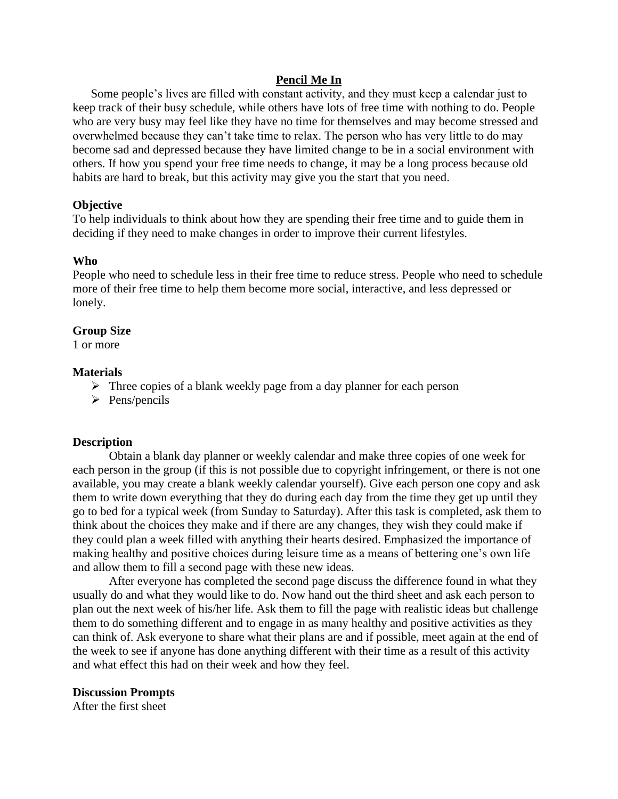#### **Pencil Me In**

Some people's lives are filled with constant activity, and they must keep a calendar just to keep track of their busy schedule, while others have lots of free time with nothing to do. People who are very busy may feel like they have no time for themselves and may become stressed and overwhelmed because they can't take time to relax. The person who has very little to do may become sad and depressed because they have limited change to be in a social environment with others. If how you spend your free time needs to change, it may be a long process because old habits are hard to break, but this activity may give you the start that you need.

#### **Objective**

To help individuals to think about how they are spending their free time and to guide them in deciding if they need to make changes in order to improve their current lifestyles.

#### **Who**

People who need to schedule less in their free time to reduce stress. People who need to schedule more of their free time to help them become more social, interactive, and less depressed or lonely.

### **Group Size**

1 or more

### **Materials**

- $\triangleright$  Three copies of a blank weekly page from a day planner for each person
- $\triangleright$  Pens/pencils

#### **Description**

Obtain a blank day planner or weekly calendar and make three copies of one week for each person in the group (if this is not possible due to copyright infringement, or there is not one available, you may create a blank weekly calendar yourself). Give each person one copy and ask them to write down everything that they do during each day from the time they get up until they go to bed for a typical week (from Sunday to Saturday). After this task is completed, ask them to think about the choices they make and if there are any changes, they wish they could make if they could plan a week filled with anything their hearts desired. Emphasized the importance of making healthy and positive choices during leisure time as a means of bettering one's own life and allow them to fill a second page with these new ideas.

After everyone has completed the second page discuss the difference found in what they usually do and what they would like to do. Now hand out the third sheet and ask each person to plan out the next week of his/her life. Ask them to fill the page with realistic ideas but challenge them to do something different and to engage in as many healthy and positive activities as they can think of. Ask everyone to share what their plans are and if possible, meet again at the end of the week to see if anyone has done anything different with their time as a result of this activity and what effect this had on their week and how they feel.

#### **Discussion Prompts**

After the first sheet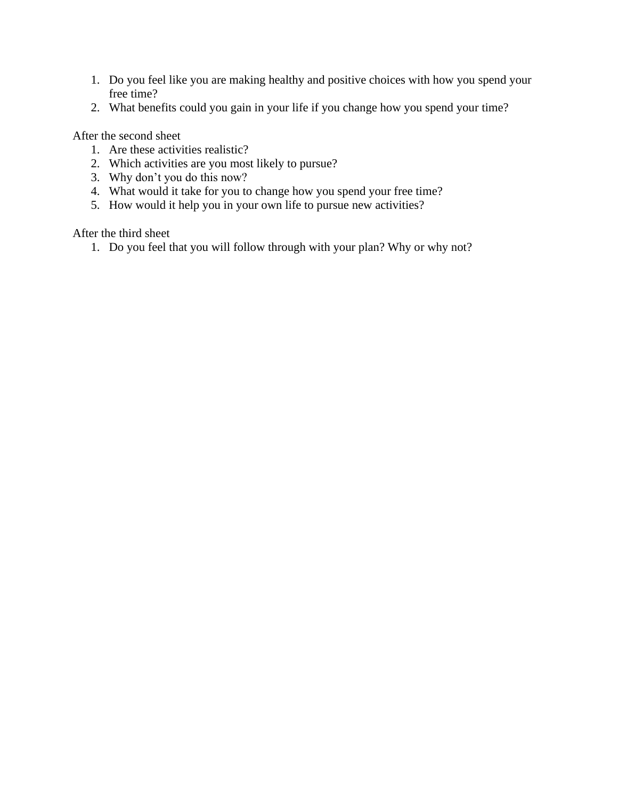- 1. Do you feel like you are making healthy and positive choices with how you spend your free time?
- 2. What benefits could you gain in your life if you change how you spend your time?

After the second sheet

- 1. Are these activities realistic?
- 2. Which activities are you most likely to pursue?
- 3. Why don't you do this now?
- 4. What would it take for you to change how you spend your free time?
- 5. How would it help you in your own life to pursue new activities?

After the third sheet

1. Do you feel that you will follow through with your plan? Why or why not?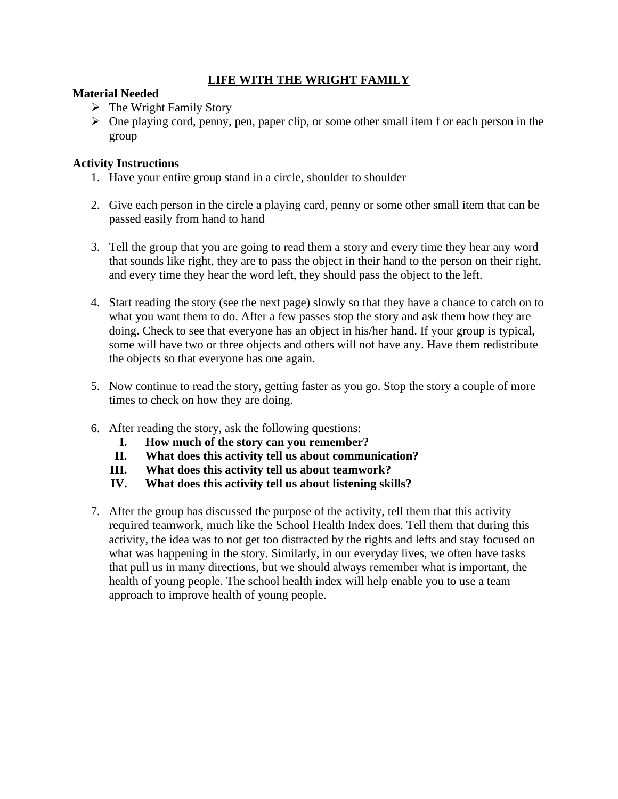# **LIFE WITH THE WRIGHT FAMILY**

### **Material Needed**

- $\triangleright$  The Wright Family Story
- $\triangleright$  One playing cord, penny, pen, paper clip, or some other small item f or each person in the group

# **Activity Instructions**

- 1. Have your entire group stand in a circle, shoulder to shoulder
- 2. Give each person in the circle a playing card, penny or some other small item that can be passed easily from hand to hand
- 3. Tell the group that you are going to read them a story and every time they hear any word that sounds like right, they are to pass the object in their hand to the person on their right, and every time they hear the word left, they should pass the object to the left.
- 4. Start reading the story (see the next page) slowly so that they have a chance to catch on to what you want them to do. After a few passes stop the story and ask them how they are doing. Check to see that everyone has an object in his/her hand. If your group is typical, some will have two or three objects and others will not have any. Have them redistribute the objects so that everyone has one again.
- 5. Now continue to read the story, getting faster as you go. Stop the story a couple of more times to check on how they are doing.
- 6. After reading the story, ask the following questions:
	- **I. How much of the story can you remember?**
	- **II. What does this activity tell us about communication?**
	- **III. What does this activity tell us about teamwork?**
	- **IV. What does this activity tell us about listening skills?**
- 7. After the group has discussed the purpose of the activity, tell them that this activity required teamwork, much like the School Health Index does. Tell them that during this activity, the idea was to not get too distracted by the rights and lefts and stay focused on what was happening in the story. Similarly, in our everyday lives, we often have tasks that pull us in many directions, but we should always remember what is important, the health of young people. The school health index will help enable you to use a team approach to improve health of young people.